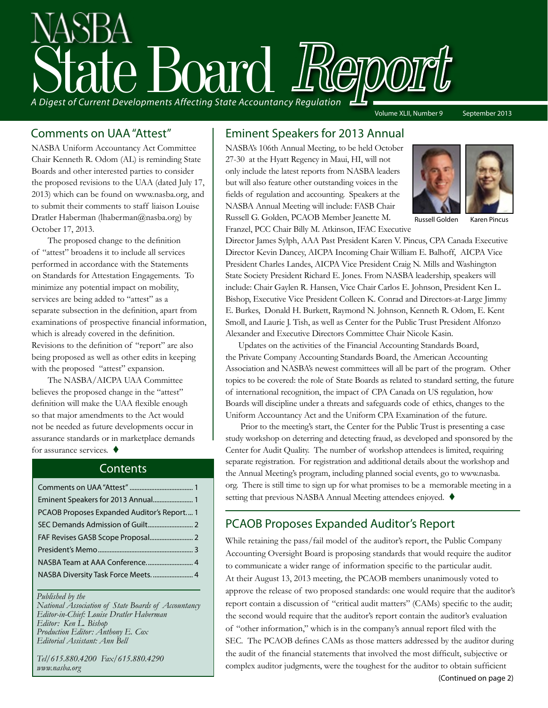# State Board Report *A Digest of Current Developments Affecting State Accountancy Regulation* Volume XLII, Number 9 September 2013

NASBA Uniform Accountancy Act Committee Chair Kenneth R. Odom (AL) is reminding State Boards and other interested parties to consider the proposed revisions to the UAA (dated July 17, 2013) which can be found on www.nasba.org, and to submit their comments to staff liaison Louise Dratler Haberman (lhaberman@nasba.org) by October 17, 2013.

 The proposed change to the definition of "attest" broadens it to include all services performed in accordance with the Statements on Standards for Attestation Engagements. To minimize any potential impact on mobility, services are being added to "attest" as a separate subsection in the definition, apart from examinations of prospective financial information, which is already covered in the definition. Revisions to the definition of "report" are also being proposed as well as other edits in keeping with the proposed "attest" expansion.

The NASBA/AICPA UAA Committee believes the proposed change in the "attest" definition will make the UAA flexible enough so that major amendments to the Act would not be needed as future developments occur in assurance standards or in marketplace demands forassurance services.  $\blacklozenge$ 

#### **Contents**

| PCAOB Proposes Expanded Auditor's Report 1 |  |
|--------------------------------------------|--|
|                                            |  |
|                                            |  |
|                                            |  |
|                                            |  |
|                                            |  |
|                                            |  |

#### *Published by the*

*National Association of State Boards of Accountancy Editor-in-Chief: Louise Dratler Haberman Editor: Ken L. Bishop Production Editor: Anthony E. Cox Editorial Assistant: Ann Bell* 

*Tel/615.880.4200 Fax/615.880.4290 www.nasba.org*

#### Comments on UAA "Attest" Eminent Speakers for 2013 Annual

NASBA's 106th Annual Meeting, to be held October 27-30 at the Hyatt Regency in Maui, HI, will not only include the latest reports from NASBA leaders but will also feature other outstanding voices in the fields of regulation and accounting. Speakers at the NASBA Annual Meeting will include: FASB Chair Russell G. Golden, PCAOB Member Jeanette M. Franzel, PCC Chair Billy M. Atkinson, IFAC Executive



Russell Golden Karen Pincus

Director James Sylph, AAA Past President Karen V. Pincus, CPA Canada Executive Director Kevin Dancey, AICPA Incoming Chair William E. Balhoff, AICPA Vice President Charles Landes, AICPA Vice President Craig N. Mills and Washington State Society President Richard E. Jones. From NASBA leadership, speakers will include: Chair Gaylen R. Hansen, Vice Chair Carlos E. Johnson, President Ken L. Bishop, Executive Vice President Colleen K. Conrad and Directors-at-Large Jimmy E. Burkes, Donald H. Burkett, Raymond N. Johnson, Kenneth R. Odom, E. Kent Smoll, and Laurie J. Tish, as well as Center for the Public Trust President Alfonzo Alexander and Executive Directors Committee Chair Nicole Kasin.

 Updates on the activities of the Financial Accounting Standards Board, the Private Company Accounting Standards Board, the American Accounting Association and NASBA's newest committees will all be part of the program. Other topics to be covered: the role of State Boards as related to standard setting, the future of international recognition, the impact of CPA Canada on US regulation, how Boards will discipline under a threats and safeguards code of ethics, changes to the Uniform Accountancy Act and the Uniform CPA Examination of the future.

 Prior to the meeting's start, the Center for the Public Trust is presenting a case study workshop on deterring and detecting fraud, as developed and sponsored by the Center for Audit Quality. The number of workshop attendees is limited, requiring separate registration. For registration and additional details about the workshop and the Annual Meeting's program, including planned social events, go to www.nasba. org. There is still time to sign up for what promises to be a memorable meeting in a setting that previous NASBA Annual Meeting attendees enjoyed.  $\blacklozenge$ 

#### PCAOB Proposes Expanded Auditor's Report

While retaining the pass/fail model of the auditor's report, the Public Company Accounting Oversight Board is proposing standards that would require the auditor to communicate a wider range of information specific to the particular audit. At their August 13, 2013 meeting, the PCAOB members unanimously voted to approve the release of two proposed standards: one would require that the auditor's report contain a discussion of "critical audit matters" (CAMs) specific to the audit; the second would require that the auditor's report contain the auditor's evaluation of "other information," which is in the company's annual report filed with the SEC. The PCAOB defines CAMs as those matters addressed by the auditor during the audit of the financial statements that involved the most difficult, subjective or complex auditor judgments, were the toughest for the auditor to obtain sufficient

(Continued on page 2)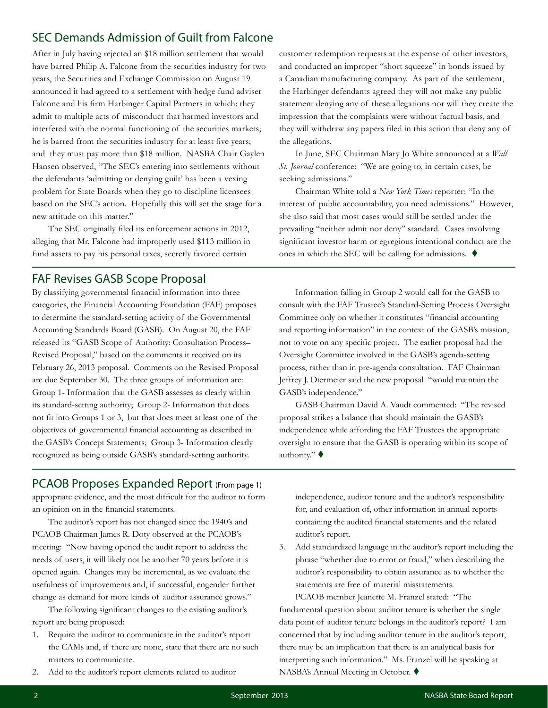#### <span id="page-1-0"></span>SEC Demands Admission of Guilt from Falcone

After in July having rejected an \$18 million settlement that would have barred Philip A. Falcone from the securities industry for two years, the Securities and Exchange Commission on August 19 announced it had agreed to a settlement with hedge fund adviser Falcone and his firm Harbinger Capital Partners in which: they admit to multiple acts of misconduct that harmed investors and interfered with the normal functioning of the securities markets; he is barred from the securities industry for at least five years; and they must pay more than \$18 million. NASBA Chair Gaylen Hansen observed, "The SEC's entering into settlements without the defendants 'admitting or denying guilt' has been a vexing problem for State Boards when they go to discipline licensees based on the SEC's action. Hopefully this will set the stage for a new attitude on this matter."

 The SEC originally filed its enforcement actions in 2012, alleging that Mr. Falcone had improperly used \$113 million in fund assets to pay his personal taxes, secretly favored certain

#### FAF Revises GASB Scope Proposal

By classifying governmental financial information into three categories, the Financial Accounting Foundation (FAF) proposes to determine the standard-setting activity of the Governmental Accounting Standards Board (GASB). On August 20, the FAF released its "GASB Scope of Authority: Consultation Process– Revised Proposal," based on the comments it received on its February 26, 2013 proposal. Comments on the Revised Proposal are due September 30. The three groups of information are: Group 1- Information that the GASB assesses as clearly within its standard-setting authority; Group 2- Information that does not fit into Groups 1 or 3, but that does meet at least one of the objectives of governmental financial accounting as described in the GASB's Concept Statements; Group 3- Information clearly recognized as being outside GASB's standard-setting authority.

customer redemption requests at the expense of other investors, and conducted an improper "short squeeze" in bonds issued by a Canadian manufacturing company. As part of the settlement, the Harbinger defendants agreed they will not make any public statement denying any of these allegations nor will they create the impression that the complaints were without factual basis, and they will withdraw any papers filed in this action that deny any of the allegations.

In June, SEC Chairman Mary Jo White announced at a *Wall St. Journal* conference: "We are going to, in certain cases, be seeking admissions."

Chairman White told a *New York Times* reporter: "In the interest of public accountability, you need admissions." However, she also said that most cases would still be settled under the prevailing "neither admit nor deny" standard. Cases involving significant investor harm or egregious intentional conduct are the ones in which the SEC will be calling for admissions.  $\blacklozenge$ 

Information falling in Group 2 would call for the GASB to consult with the FAF Trustee's Standard-Setting Process Oversight Committee only on whether it constitutes "financial accounting and reporting information" in the context of the GASB's mission, not to vote on any specific project. The earlier proposal had the Oversight Committee involved in the GASB's agenda-setting process, rather than in pre-agenda consultation. FAF Chairman Jeffrey J. Diermeier said the new proposal "would maintain the GASB's independence."

GASB Chairman David A. Vaudt commented: "The revised proposal strikes a balance that should maintain the GASB's independence while affording the FAF Trustees the appropriate oversight to ensure that the GASB is operating within its scope of authority." $\blacklozenge$ 

#### PCAOB Proposes Expanded Report (From page 1)

appropriate evidence, and the most difficult for the auditor to form an opinion on in the financial statements.

The auditor's report has not changed since the 1940's and PCAOB Chairman James R. Doty observed at the PCAOB's meeting: "Now having opened the audit report to address the needs of users, it will likely not be another 70 years before it is opened again. Changes may be incremental, as we evaluate the usefulness of improvements and, if successful, engender further change as demand for more kinds of auditor assurance grows."

 The following significant changes to the existing auditor's report are being proposed:

- 1. Require the auditor to communicate in the auditor's report the CAMs and, if there are none, state that there are no such matters to communicate.
- 2. Add to the auditor's report elements related to auditor

independence, auditor tenure and the auditor's responsibility for, and evaluation of, other information in annual reports containing the audited financial statements and the related auditor's report.

3. Add standardized language in the auditor's report including the phrase "whether due to error or fraud," when describing the auditor's responsibility to obtain assurance as to whether the statements are free of material misstatements.

PCAOB member Jeanette M. Franzel stated: "The fundamental question about auditor tenure is whether the single data point of auditor tenure belongs in the auditor's report? I am concerned that by including auditor tenure in the auditor's report, there may be an implication that there is an analytical basis for interpreting such information." Ms. Franzel will be speaking at NASBA's Annual Meeting in October. ♦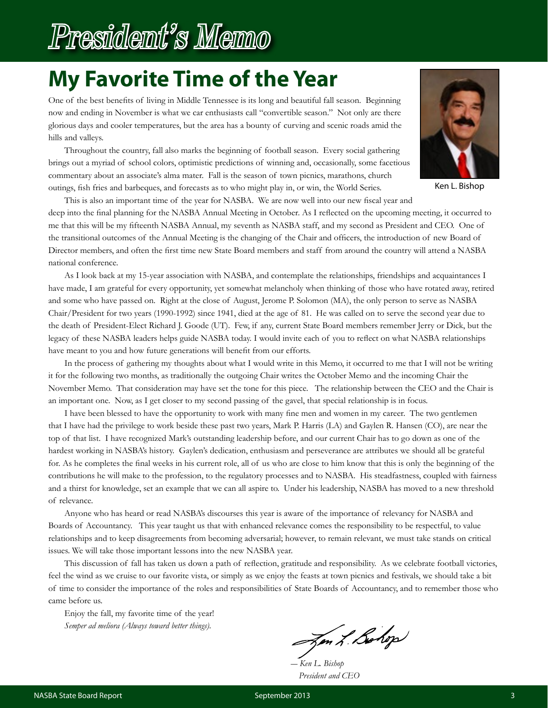## <span id="page-2-0"></span>President's Memo

## **My Favorite Time of the Year**

One of the best benefits of living in Middle Tennessee is its long and beautiful fall season. Beginning now and ending in November is what we car enthusiasts call "convertible season." Not only are there glorious days and cooler temperatures, but the area has a bounty of curving and scenic roads amid the hills and valleys.

Throughout the country, fall also marks the beginning of football season. Every social gathering brings out a myriad of school colors, optimistic predictions of winning and, occasionally, some facetious commentary about an associate's alma mater. Fall is the season of town picnics, marathons, church outings, fish fries and barbeques, and forecasts as to who might play in, or win, the World Series.

Ken L. Bishop

This is also an important time of the year for NASBA. We are now well into our new fiscal year and

deep into the final planning for the NASBA Annual Meeting in October. As I reflected on the upcoming meeting, it occurred to me that this will be my fifteenth NASBA Annual, my seventh as NASBA staff, and my second as President and CEO. One of the transitional outcomes of the Annual Meeting is the changing of the Chair and officers, the introduction of new Board of Director members, and often the first time new State Board members and staff from around the country will attend a NASBA national conference.

As I look back at my 15-year association with NASBA, and contemplate the relationships, friendships and acquaintances I have made, I am grateful for every opportunity, yet somewhat melancholy when thinking of those who have rotated away, retired and some who have passed on. Right at the close of August, Jerome P. Solomon (MA), the only person to serve as NASBA Chair/President for two years (1990-1992) since 1941, died at the age of 81. He was called on to serve the second year due to the death of President-Elect Richard J. Goode (UT). Few, if any, current State Board members remember Jerry or Dick, but the legacy of these NASBA leaders helps guide NASBA today. I would invite each of you to reflect on what NASBA relationships have meant to you and how future generations will benefit from our efforts.

In the process of gathering my thoughts about what I would write in this Memo, it occurred to me that I will not be writing it for the following two months, as traditionally the outgoing Chair writes the October Memo and the incoming Chair the November Memo. That consideration may have set the tone for this piece. The relationship between the CEO and the Chair is an important one. Now, as I get closer to my second passing of the gavel, that special relationship is in focus.

I have been blessed to have the opportunity to work with many fine men and women in my career. The two gentlemen that I have had the privilege to work beside these past two years, Mark P. Harris (LA) and Gaylen R. Hansen (CO), are near the top of that list. I have recognized Mark's outstanding leadership before, and our current Chair has to go down as one of the hardest working in NASBA's history. Gaylen's dedication, enthusiasm and perseverance are attributes we should all be grateful for. As he completes the final weeks in his current role, all of us who are close to him know that this is only the beginning of the contributions he will make to the profession, to the regulatory processes and to NASBA. His steadfastness, coupled with fairness and a thirst for knowledge, set an example that we can all aspire to. Under his leadership, NASBA has moved to a new threshold of relevance.

Anyone who has heard or read NASBA's discourses this year is aware of the importance of relevancy for NASBA and Boards of Accountancy. This year taught us that with enhanced relevance comes the responsibility to be respectful, to value relationships and to keep disagreements from becoming adversarial; however, to remain relevant, we must take stands on critical issues. We will take those important lessons into the new NASBA year.

This discussion of fall has taken us down a path of reflection, gratitude and responsibility. As we celebrate football victories, feel the wind as we cruise to our favorite vista, or simply as we enjoy the feasts at town picnics and festivals, we should take a bit of time to consider the importance of the roles and responsibilities of State Boards of Accountancy, and to remember those who came before us.

Enjoy the fall, my favorite time of the year! *Semper ad meliora (Always toward better things).*

Jen L. Bohop

 *― Ken L. Bishop President and CEO*